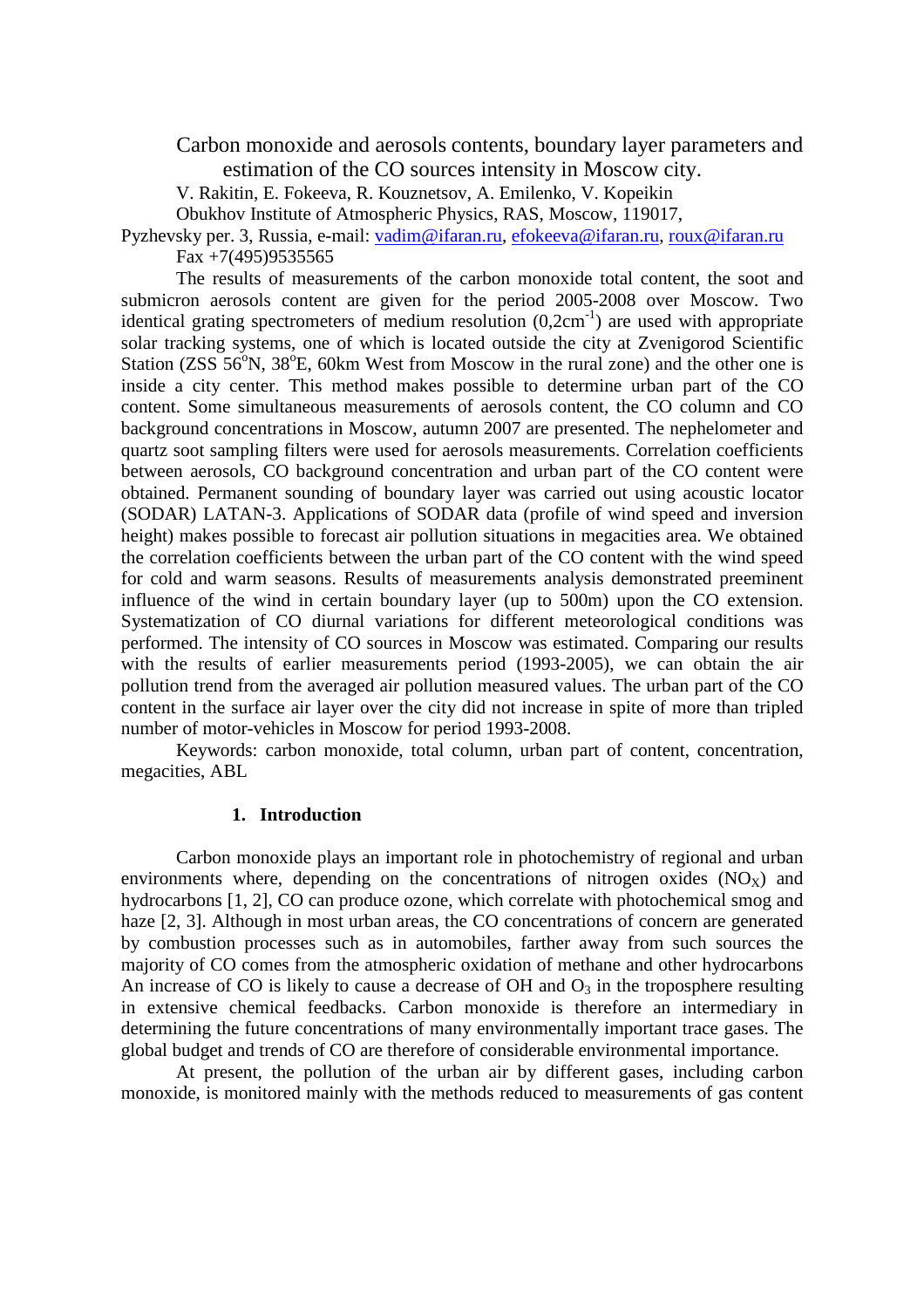Carbon monoxide and aerosols contents, boundary layer parameters and estimation of the CO sources intensity in Moscow city.

V. Rakitin, E. Fokeeva, R. Kouznetsov, A. Emilenko, V. Kopeikin

Obukhov Institute of Atmospheric Physics, RAS, Moscow, 119017,

Pyzhevsky per. 3, Russia, e-mail: vadim@ifaran.ru, efokeeva@ifaran.ru, roux@ifaran.ru Fax  $+7(495)9535565$ 

The results of measurements of the carbon monoxide total content, the soot and submicron aerosols content are given for the period 2005-2008 over Moscow. Two identical grating spectrometers of medium resolution  $(0,2cm^{-1})$  are used with appropriate solar tracking systems, one of which is located outside the city at Zvenigorod Scientific Station ( $ZSS\ 56^{\circ}N$ ,  $38^{\circ}E$ , 60km West from Moscow in the rural zone) and the other one is inside a city center. This method makes possible to determine urban part of the CO content. Some simultaneous measurements of aerosols content, the CO column and CO background concentrations in Moscow, autumn 2007 are presented. The nephelometer and quartz soot sampling filters were used for aerosols measurements. Correlation coefficients between aerosols, CO background concentration and urban part of the CO content were obtained. Permanent sounding of boundary layer was carried out using acoustic locator (SODAR) LATAN-3. Applications of SODAR data (profile of wind speed and inversion height) makes possible to forecast air pollution situations in megacities area. We obtained the correlation coefficients between the urban part of the CO content with the wind speed for cold and warm seasons. Results of measurements analysis demonstrated preeminent influence of the wind in certain boundary layer (up to 500m) upon the CO extension. Systematization of CO diurnal variations for different meteorological conditions was performed. The intensity of CO sources in Moscow was estimated. Comparing our results with the results of earlier measurements period (1993-2005), we can obtain the air pollution trend from the averaged air pollution measured values. The urban part of the CO content in the surface air layer over the city did not increase in spite of more than tripled number of motor-vehicles in Moscow for period 1993-2008.

Keywords: carbon monoxide, total column, urban part of content, concentration, megacities, ABL

## **1. Introduction**

Carbon monoxide plays an important role in photochemistry of regional and urban environments where, depending on the concentrations of nitrogen oxides  $(NO_x)$  and hydrocarbons [1, 2], CO can produce ozone, which correlate with photochemical smog and haze [2, 3]. Although in most urban areas, the CO concentrations of concern are generated by combustion processes such as in automobiles, farther away from such sources the majority of CO comes from the atmospheric oxidation of methane and other hydrocarbons An increase of CO is likely to cause a decrease of OH and  $O_3$  in the troposphere resulting in extensive chemical feedbacks. Carbon monoxide is therefore an intermediary in determining the future concentrations of many environmentally important trace gases. The global budget and trends of CO are therefore of considerable environmental importance.

At present, the pollution of the urban air by different gases, including carbon monoxide, is monitored mainly with the methods reduced to measurements of gas content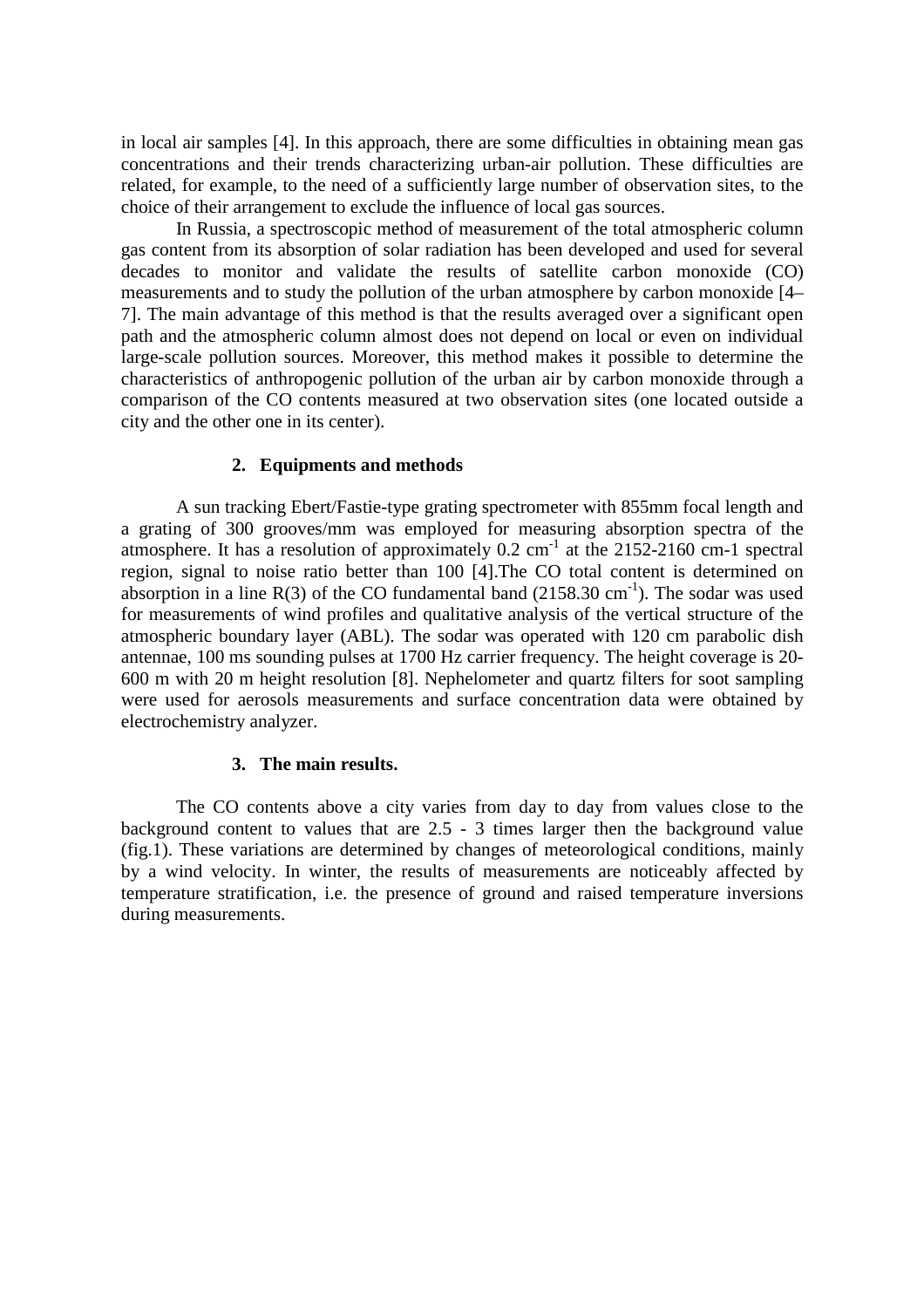in local air samples [4]. In this approach, there are some difficulties in obtaining mean gas concentrations and their trends characterizing urban-air pollution. These difficulties are related, for example, to the need of a sufficiently large number of observation sites, to the choice of their arrangement to exclude the influence of local gas sources.

In Russia, a spectroscopic method of measurement of the total atmospheric column gas content from its absorption of solar radiation has been developed and used for several decades to monitor and validate the results of satellite carbon monoxide (CO) measurements and to study the pollution of the urban atmosphere by carbon monoxide [4– 7]. The main advantage of this method is that the results averaged over a significant open path and the atmospheric column almost does not depend on local or even on individual large-scale pollution sources. Moreover, this method makes it possible to determine the characteristics of anthropogenic pollution of the urban air by carbon monoxide through a comparison of the CO contents measured at two observation sites (one located outside a city and the other one in its center).

## **2. Equipments and methods**

A sun tracking Ebert/Fastie-type grating spectrometer with 855mm focal length and a grating of 300 grooves/mm was employed for measuring absorption spectra of the atmosphere. It has a resolution of approximately  $0.2 \text{ cm}^{-1}$  at the 2152-2160 cm-1 spectral region, signal to noise ratio better than 100 [4].The CO total content is determined on absorption in a line  $R(3)$  of the CO fundamental band (2158.30 cm<sup>-1</sup>). The sodar was used for measurements of wind profiles and qualitative analysis of the vertical structure of the atmospheric boundary layer (ABL). The sodar was operated with 120 cm parabolic dish antennae, 100 ms sounding pulses at 1700 Hz carrier frequency. The height coverage is 20- 600 m with 20 m height resolution [8]. Nephelometer and quartz filters for soot sampling were used for aerosols measurements and surface concentration data were obtained by electrochemistry analyzer.

## **3. The main results.**

The CO contents above a city varies from day to day from values close to the background content to values that are 2.5 - 3 times larger then the background value (fig.1). These variations are determined by changes of meteorological conditions, mainly by a wind velocity. In winter, the results of measurements are noticeably affected by temperature stratification, i.e. the presence of ground and raised temperature inversions during measurements.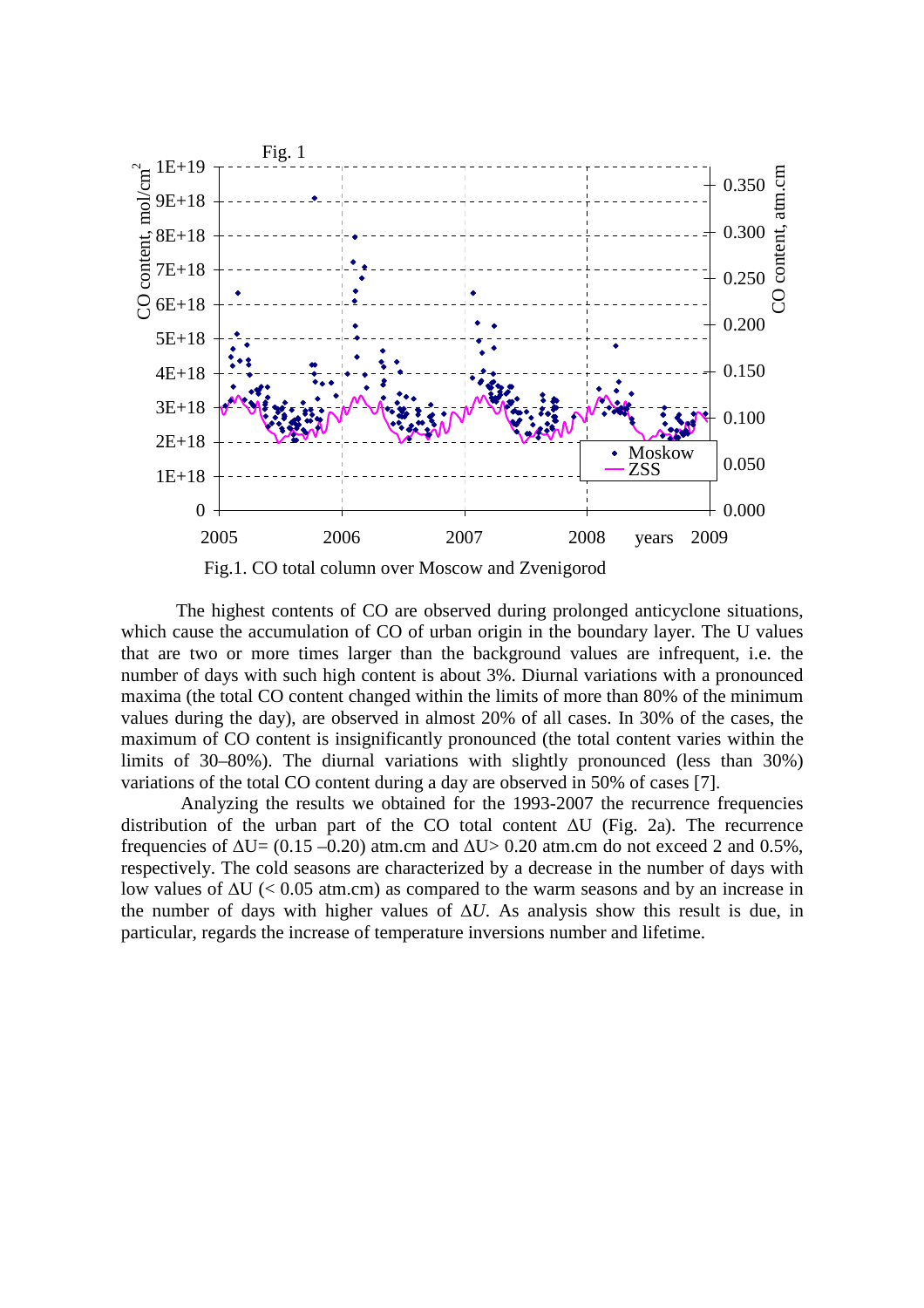

The highest contents of CO are observed during prolonged anticyclone situations, which cause the accumulation of CO of urban origin in the boundary layer. The U values that are two or more times larger than the background values are infrequent, i.e. the number of days with such high content is about 3%. Diurnal variations with a pronounced maxima (the total CO content changed within the limits of more than 80% of the minimum values during the day), are observed in almost 20% of all cases. In 30% of the cases, the maximum of CO content is insignificantly pronounced (the total content varies within the limits of 30–80%). The diurnal variations with slightly pronounced (less than 30%) variations of the total CO content during a day are observed in 50% of cases [7].

 Analyzing the results we obtained for the 1993-2007 the recurrence frequencies distribution of the urban part of the CO total content ∆U (Fig. 2a). The recurrence frequencies of  $\Delta U = (0.15 - 0.20)$  atm.cm and  $\Delta U > 0.20$  atm.cm do not exceed 2 and 0.5%, respectively. The cold seasons are characterized by a decrease in the number of days with low values of ∆U (< 0.05 atm.cm) as compared to the warm seasons and by an increase in the number of days with higher values of ∆*U*. As analysis show this result is due, in particular, regards the increase of temperature inversions number and lifetime.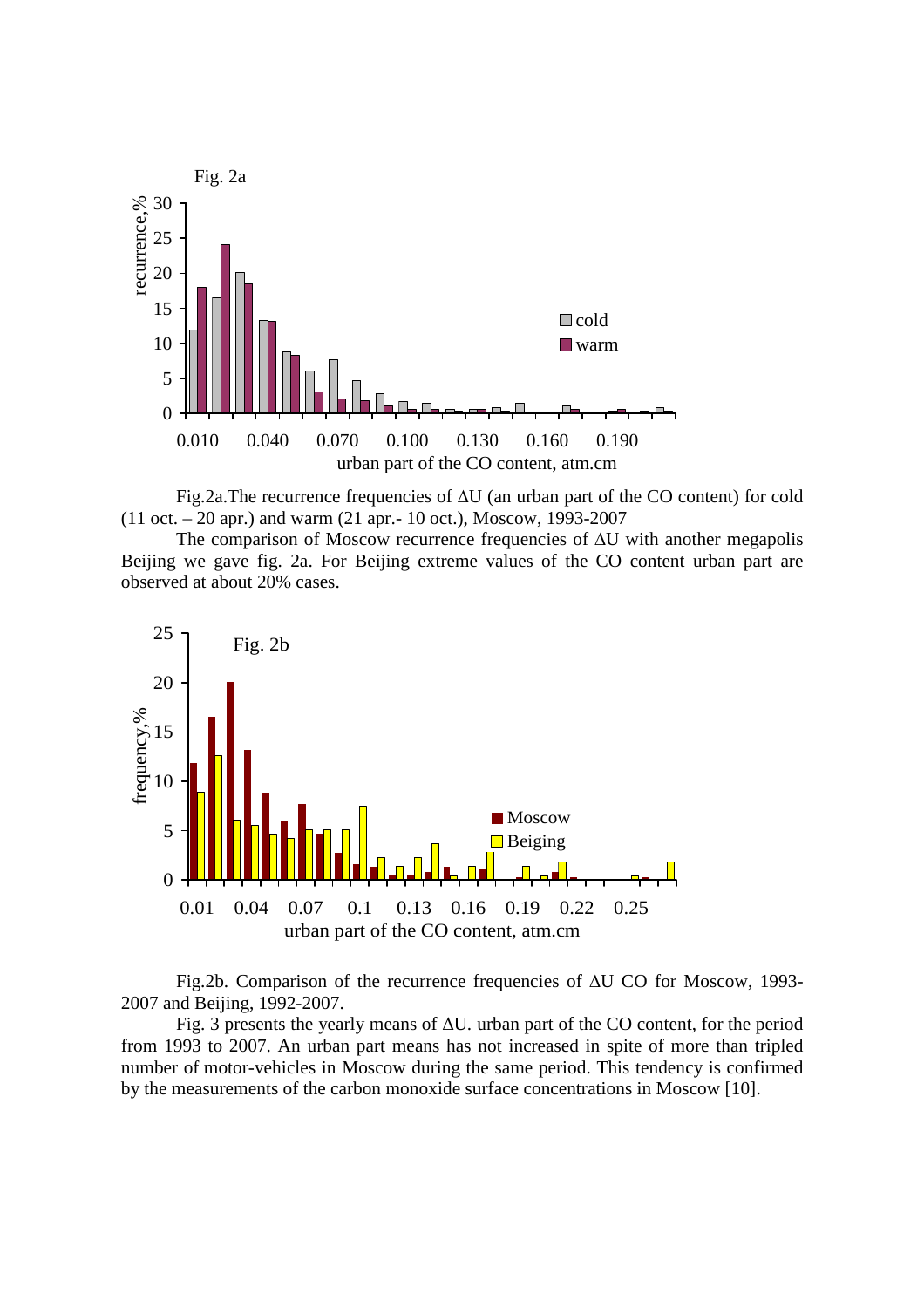

Fig.2a.The recurrence frequencies of ∆U (an urban part of the CO content) for cold (11 oct. – 20 apr.) and warm (21 apr.- 10 oct.), Moscow, 1993-2007

The comparison of Moscow recurrence frequencies of ∆U with another megapolis Beijing we gave fig. 2a. For Beijing extreme values of the CO content urban part are observed at about 20% cases.



Fig.2b. Comparison of the recurrence frequencies of ∆U CO for Moscow, 1993- 2007 and Beijing, 1992-2007.

Fig. 3 presents the yearly means of ∆U*.* urban part of the CO content, for the period from 1993 to 2007. An urban part means has not increased in spite of more than tripled number of motor-vehicles in Moscow during the same period. This tendency is confirmed by the measurements of the carbon monoxide surface concentrations in Moscow [10].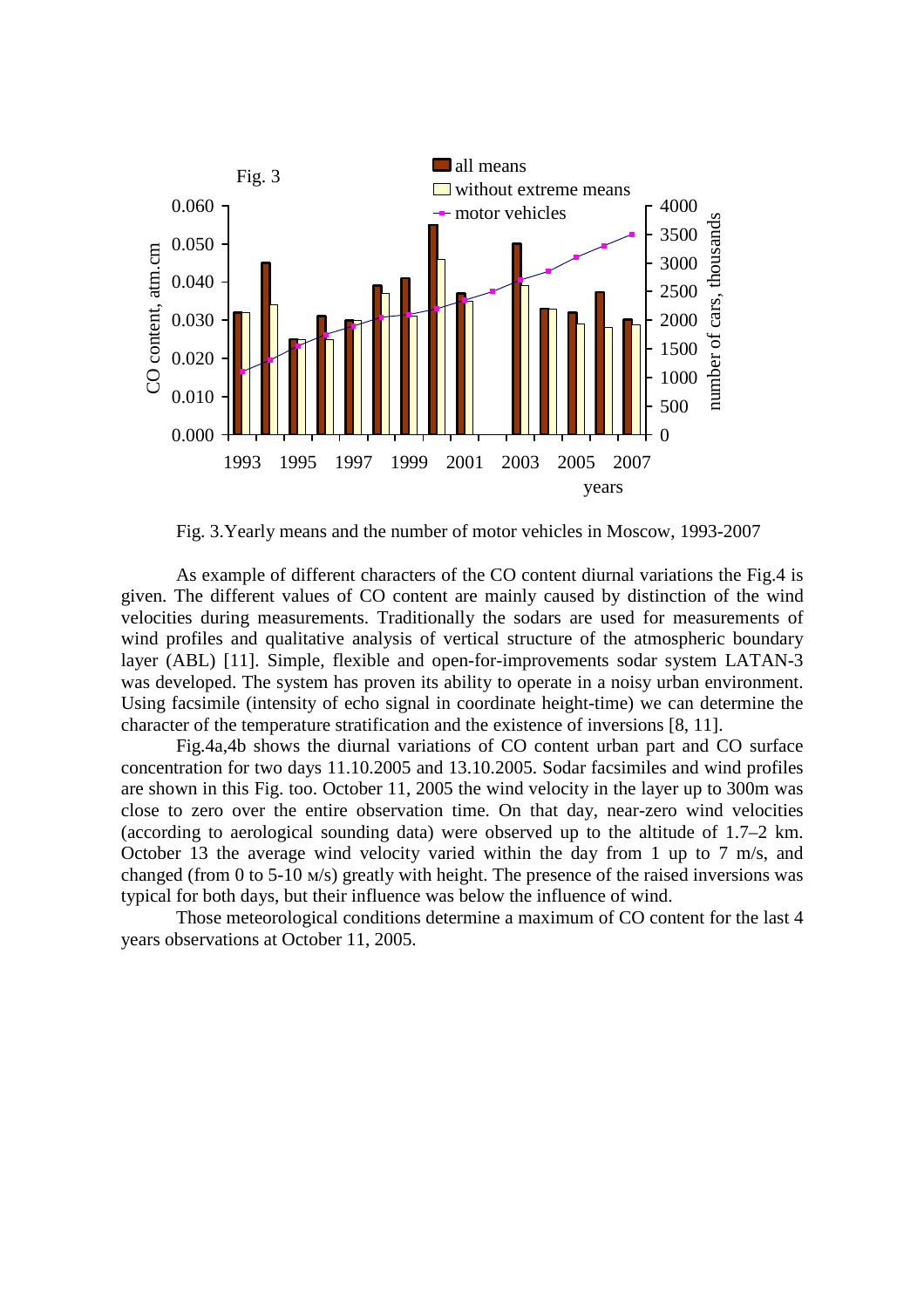

Fig. 3.Yearly means and the number of motor vehicles in Moscow, 1993-2007

As example of different characters of the CO content diurnal variations the Fig.4 is given. The different values of CO content are mainly caused by distinction of the wind velocities during measurements. Traditionally the sodars are used for measurements of wind profiles and qualitative analysis of vertical structure of the atmospheric boundary layer (ABL) [11]. Simple, flexible and open-for-improvements sodar system LATAN-3 was developed. The system has proven its ability to operate in a noisy urban environment. Using facsimile (intensity of echo signal in coordinate height-time) we can determine the character of the temperature stratification and the existence of inversions [8, 11].

Fig.4a,4b shows the diurnal variations of CO content urban part and CO surface concentration for two days 11.10.2005 and 13.10.2005. Sodar facsimiles and wind profiles are shown in this Fig. too. October 11, 2005 the wind velocity in the layer up to 300m was close to zero over the entire observation time. On that day, near-zero wind velocities (according to aerological sounding data) were observed up to the altitude of 1.7–2 km. October 13 the average wind velocity varied within the day from 1 up to 7 m/s, and changed (from 0 to 5-10 м/s) greatly with height. The presence of the raised inversions was typical for both days, but their influence was below the influence of wind.

Those meteorological conditions determine a maximum of CO content for the last 4 years observations at October 11, 2005.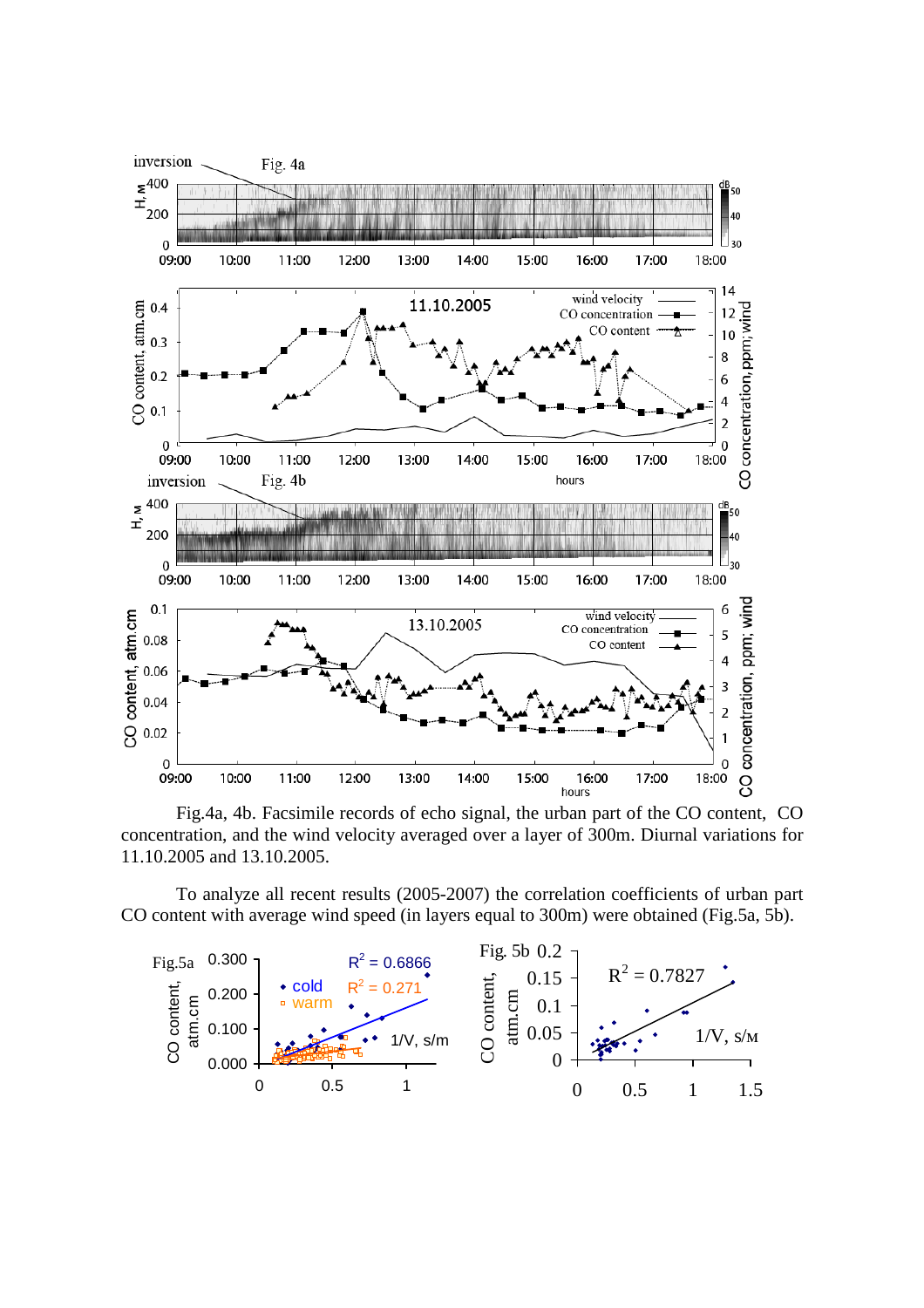

Fig.4a, 4b. Facsimile records of echo signal, the urban part of the CO content, CO concentration, and the wind velocity averaged over a layer of 300m. Diurnal variations for 11.10.2005 and 13.10.2005.

To analyze all recent results (2005-2007) the correlation coefficients of urban part CO content with average wind speed (in layers equal to 300m) were obtained (Fig.5a, 5b).

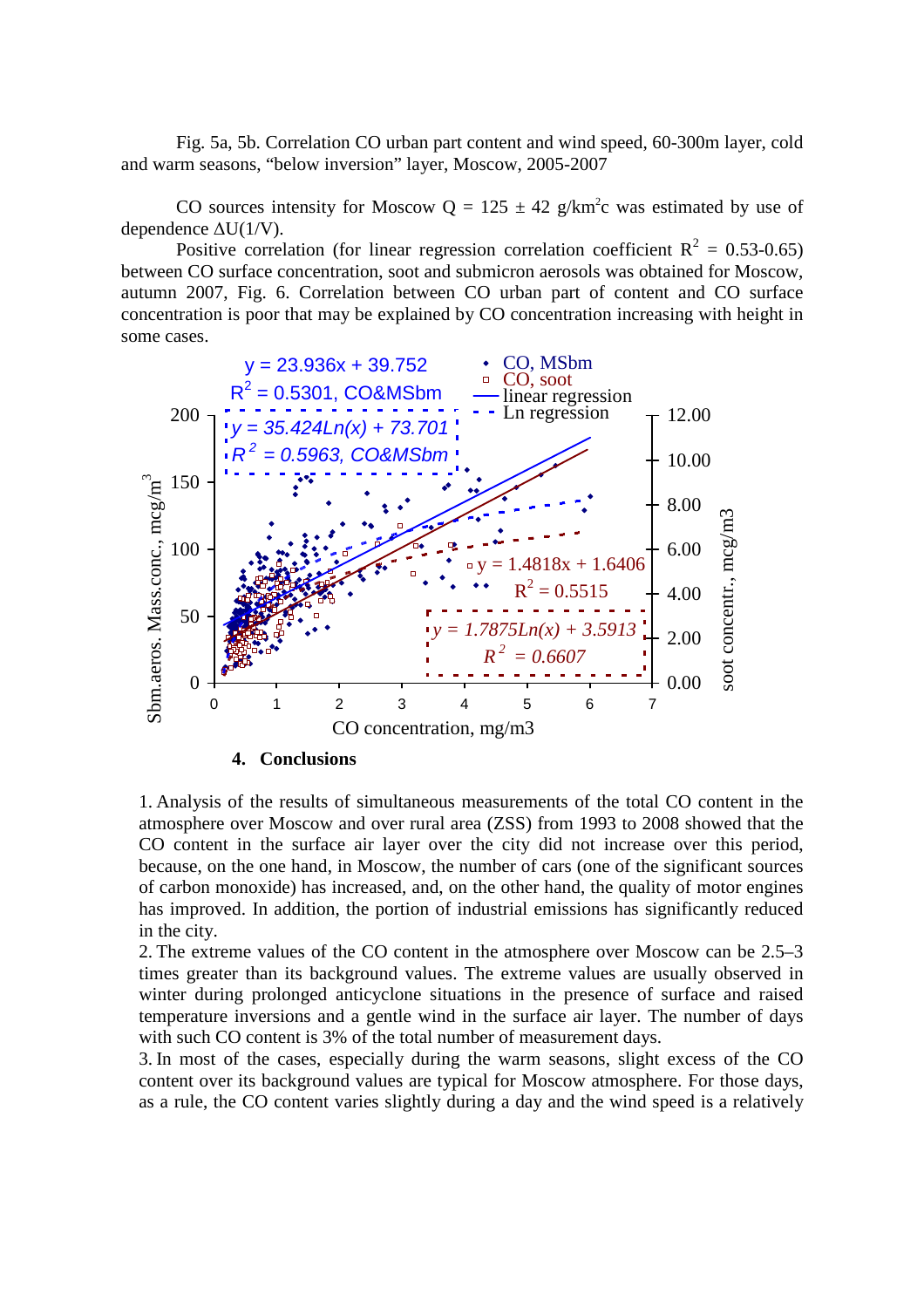Fig. 5a, 5b. Correlation CO urban part content and wind speed, 60-300m layer, cold and warm seasons, "below inversion" layer, Moscow, 2005-2007

CO sources intensity for Moscow  $Q = 125 \pm 42$  g/km<sup>2</sup>c was estimated by use of dependence ∆U(1/V).

Positive correlation (for linear regression correlation coefficient  $R^2 = 0.53{\text -}0.65$ ) between CO surface concentration, soot and submicron aerosols was obtained for Moscow, autumn 2007, Fig. 6. Correlation between CO urban part of content and CO surface concentration is poor that may be explained by CO concentration increasing with height in some cases.



1. Analysis of the results of simultaneous measurements of the total CO content in the atmosphere over Moscow and over rural area (ZSS) from 1993 to 2008 showed that the CO content in the surface air layer over the city did not increase over this period, because, on the one hand, in Moscow, the number of cars (one of the significant sources of carbon monoxide) has increased, and, on the other hand, the quality of motor engines has improved. In addition, the portion of industrial emissions has significantly reduced in the city.

2. The extreme values of the CO content in the atmosphere over Moscow can be 2.5–3 times greater than its background values. The extreme values are usually observed in winter during prolonged anticyclone situations in the presence of surface and raised temperature inversions and a gentle wind in the surface air layer. The number of days with such CO content is 3% of the total number of measurement days.

3. In most of the cases, especially during the warm seasons, slight excess of the CO content over its background values are typical for Moscow atmosphere. For those days, as a rule, the CO content varies slightly during a day and the wind speed is a relatively